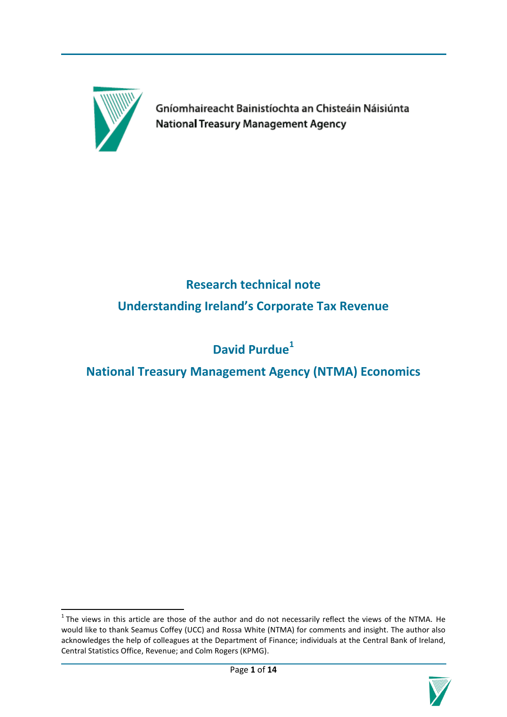

**.** 

Gníomhaireacht Bainistíochta an Chisteáin Náisiúnta **National Treasury Management Agency** 

# **Research technical note Understanding Ireland's Corporate Tax Revenue**

# **David Purdue<sup>1</sup>**

**National Treasury Management Agency (NTMA) Economics**

 $<sup>1</sup>$  The views in this article are those of the author and do not necessarily reflect the views of the NTMA. He</sup> would like to thank Seamus Coffey (UCC) and Rossa White (NTMA) for comments and insight. The author also acknowledges the help of colleagues at the Department of Finance; individuals at the Central Bank of Ireland, Central Statistics Office, Revenue; and Colm Rogers (KPMG).

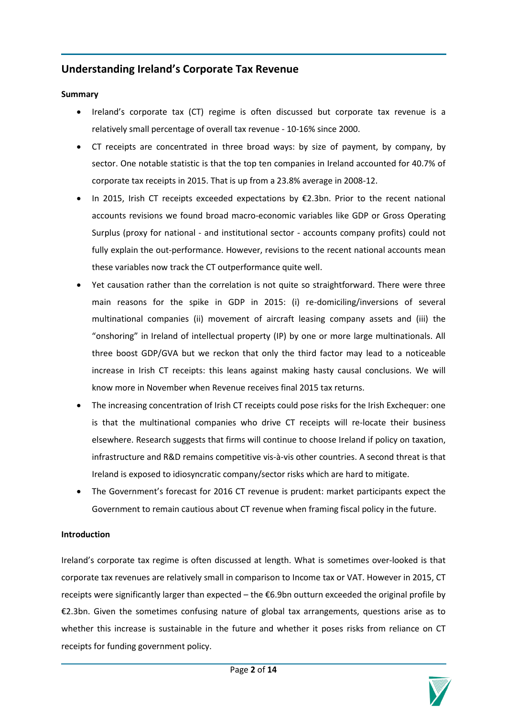# **Understanding Ireland's Corporate Tax Revenue**

# **Summary**

- Ireland's corporate tax (CT) regime is often discussed but corporate tax revenue is a relatively small percentage of overall tax revenue - 10-16% since 2000.
- CT receipts are concentrated in three broad ways: by size of payment, by company, by sector. One notable statistic is that the top ten companies in Ireland accounted for 40.7% of corporate tax receipts in 2015. That is up from a 23.8% average in 2008-12.
- In 2015, Irish CT receipts exceeded expectations by €2.3bn. Prior to the recent national accounts revisions we found broad macro-economic variables like GDP or Gross Operating Surplus (proxy for national - and institutional sector - accounts company profits) could not fully explain the out-performance. However, revisions to the recent national accounts mean these variables now track the CT outperformance quite well.
- Yet causation rather than the correlation is not quite so straightforward. There were three main reasons for the spike in GDP in 2015: (i) re-domiciling/inversions of several multinational companies (ii) movement of aircraft leasing company assets and (iii) the "onshoring" in Ireland of intellectual property (IP) by one or more large multinationals. All three boost GDP/GVA but we reckon that only the third factor may lead to a noticeable increase in Irish CT receipts: this leans against making hasty causal conclusions. We will know more in November when Revenue receives final 2015 tax returns.
- The increasing concentration of Irish CT receipts could pose risks for the Irish Exchequer: one is that the multinational companies who drive CT receipts will re-locate their business elsewhere. Research suggests that firms will continue to choose Ireland if policy on taxation, infrastructure and R&D remains competitive vis-à-vis other countries. A second threat is that Ireland is exposed to idiosyncratic company/sector risks which are hard to mitigate.
- The Government's forecast for 2016 CT revenue is prudent: market participants expect the Government to remain cautious about CT revenue when framing fiscal policy in the future.

#### **Introduction**

Ireland's corporate tax regime is often discussed at length. What is sometimes over-looked is that corporate tax revenues are relatively small in comparison to Income tax or VAT. However in 2015, CT receipts were significantly larger than expected – the €6.9bn outturn exceeded the original profile by €2.3bn. Given the sometimes confusing nature of global tax arrangements, questions arise as to whether this increase is sustainable in the future and whether it poses risks from reliance on CT receipts for funding government policy.

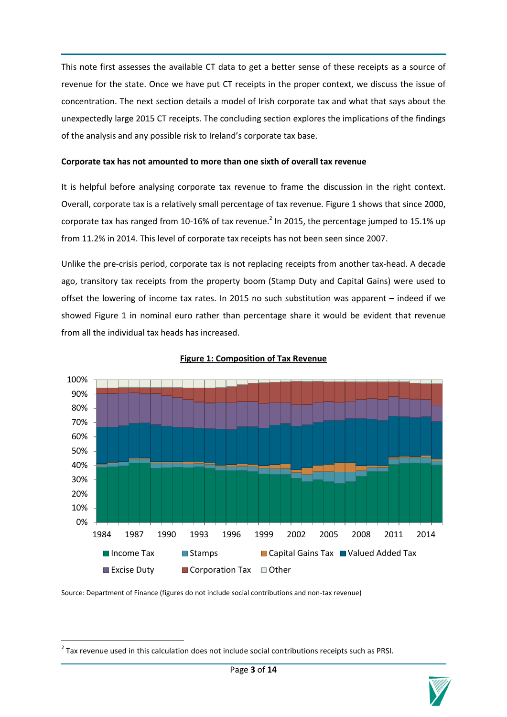This note first assesses the available CT data to get a better sense of these receipts as a source of revenue for the state. Once we have put CT receipts in the proper context, we discuss the issue of concentration. The next section details a model of Irish corporate tax and what that says about the unexpectedly large 2015 CT receipts. The concluding section explores the implications of the findings of the analysis and any possible risk to Ireland's corporate tax base.

# **Corporate tax has not amounted to more than one sixth of overall tax revenue**

It is helpful before analysing corporate tax revenue to frame the discussion in the right context. Overall, corporate tax is a relatively small percentage of tax revenue. Figure 1 shows that since 2000, corporate tax has ranged from 10-16% of tax revenue.<sup>2</sup> In 2015, the percentage jumped to 15.1% up from 11.2% in 2014. This level of corporate tax receipts has not been seen since 2007.

Unlike the pre-crisis period, corporate tax is not replacing receipts from another tax-head. A decade ago, transitory tax receipts from the property boom (Stamp Duty and Capital Gains) were used to offset the lowering of income tax rates. In 2015 no such substitution was apparent – indeed if we showed Figure 1 in nominal euro rather than percentage share it would be evident that revenue from all the individual tax heads has increased.



#### **Figure 1: Composition of Tax Revenue**

Source: Department of Finance (figures do not include social contributions and non-tax revenue)

**.** 

 $2$  Tax revenue used in this calculation does not include social contributions receipts such as PRSI.

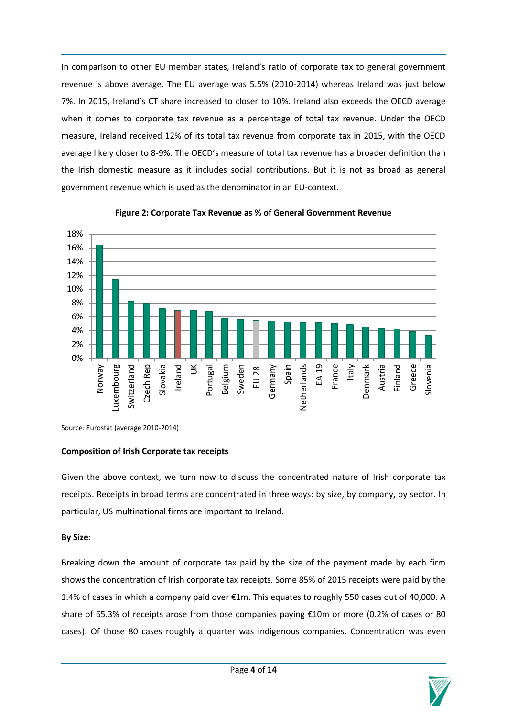In comparison to other EU member states, Ireland's ratio of corporate tax to general government revenue is above average. The EU average was 5.5% (2010-2014) whereas Ireland was just below 7%. In 2015, Ireland's CT share increased to closer to 10%. Ireland also exceeds the OECD average when it comes to corporate tax revenue as a percentage of total tax revenue. Under the OECD measure, Ireland received 12% of its total tax revenue from corporate tax in 2015, with the OECD average likely closer to 8-9%. The OECD's measure of total tax revenue has a broader definition than the Irish domestic measure as it includes social contributions. But it is not as broad as general government revenue which is used as the denominator in an EU-context.



#### **Figure 2: Corporate Tax Revenue as % of General Government Revenue**

Source: Eurostat (average 2010-2014)

#### **Composition of Irish Corporate tax receipts**

Given the above context, we turn now to discuss the concentrated nature of Irish corporate tax receipts. Receipts in broad terms are concentrated in three ways: by size, by company, by sector. In particular, US multinational firms are important to Ireland.

# **By Size:**

Breaking down the amount of corporate tax paid by the size of the payment made by each firm shows the concentration of Irish corporate tax receipts. Some 85% of 2015 receipts were paid by the 1.4% of cases in which a company paid over €1m. This equates to roughly 550 cases out of 40,000. A share of 65.3% of receipts arose from those companies paying €10m or more (0.2% of cases or 80 cases). Of those 80 cases roughly a quarter was indigenous companies. Concentration was even

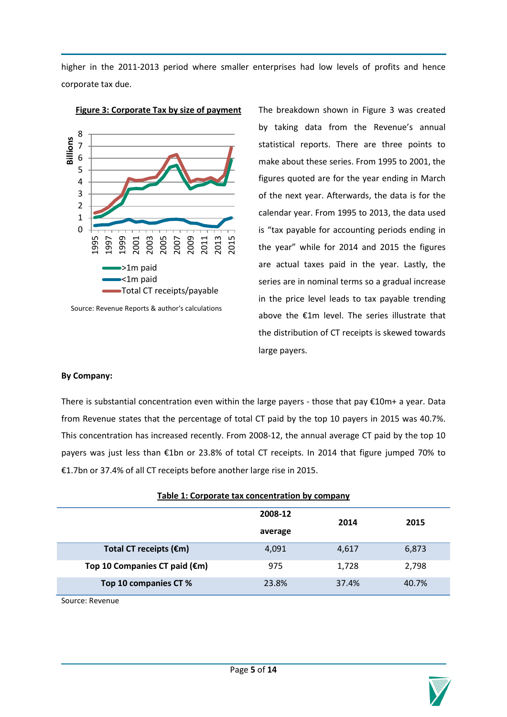higher in the 2011-2013 period where smaller enterprises had low levels of profits and hence corporate tax due.



# **Figure 3: Corporate Tax by size of payment**

Source: Revenue Reports & author's calculations

The breakdown shown in Figure 3 was created by taking data from the Revenue's annual statistical reports. There are three points to make about these series. From 1995 to 2001, the figures quoted are for the year ending in March of the next year. Afterwards, the data is for the calendar year. From 1995 to 2013, the data used is "tax payable for accounting periods ending in the year" while for 2014 and 2015 the figures are actual taxes paid in the year. Lastly, the series are in nominal terms so a gradual increase in the price level leads to tax payable trending above the €1m level. The series illustrate that the distribution of CT receipts is skewed towards large payers.

# **By Company:**

There is substantial concentration even within the large payers - those that pay €10m+ a year. Data from Revenue states that the percentage of total CT paid by the top 10 payers in 2015 was 40.7%. This concentration has increased recently. From 2008-12, the annual average CT paid by the top 10 payers was just less than €1bn or 23.8% of total CT receipts. In 2014 that figure jumped 70% to €1.7bn or 37.4% of all CT receipts before another large rise in 2015.

|                               | 2008-12 | 2014  | 2015  |  |
|-------------------------------|---------|-------|-------|--|
|                               | average |       |       |  |
| Total CT receipts (€m)        | 4,091   | 4,617 | 6,873 |  |
| Top 10 Companies CT paid (€m) | 975     | 1,728 | 2,798 |  |
| Top 10 companies CT %         | 23.8%   | 37.4% | 40.7% |  |

Source: Revenue

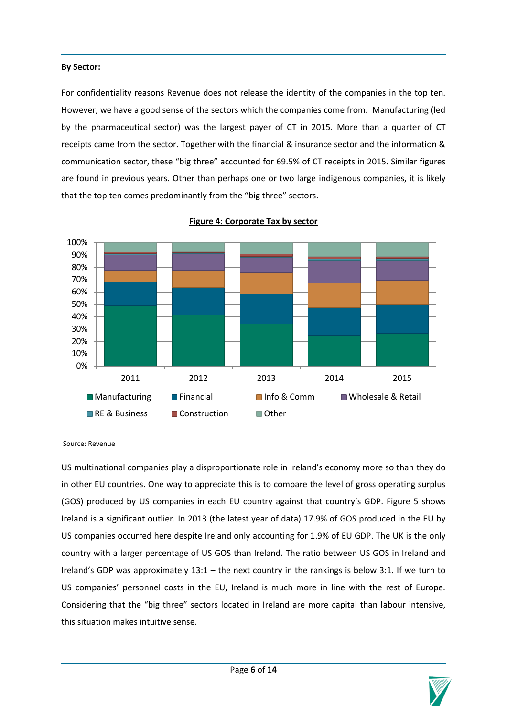# **By Sector:**

For confidentiality reasons Revenue does not release the identity of the companies in the top ten. However, we have a good sense of the sectors which the companies come from. Manufacturing (led by the pharmaceutical sector) was the largest payer of CT in 2015. More than a quarter of CT receipts came from the sector. Together with the financial & insurance sector and the information & communication sector, these "big three" accounted for 69.5% of CT receipts in 2015. Similar figures are found in previous years. Other than perhaps one or two large indigenous companies, it is likely that the top ten comes predominantly from the "big three" sectors.



#### **Figure 4: Corporate Tax by sector**

Source: Revenue

US multinational companies play a disproportionate role in Ireland's economy more so than they do in other EU countries. One way to appreciate this is to compare the level of gross operating surplus (GOS) produced by US companies in each EU country against that country's GDP. Figure 5 shows Ireland is a significant outlier. In 2013 (the latest year of data) 17.9% of GOS produced in the EU by US companies occurred here despite Ireland only accounting for 1.9% of EU GDP. The UK is the only country with a larger percentage of US GOS than Ireland. The ratio between US GOS in Ireland and Ireland's GDP was approximately 13:1 – the next country in the rankings is below 3:1. If we turn to US companies' personnel costs in the EU, Ireland is much more in line with the rest of Europe. Considering that the "big three" sectors located in Ireland are more capital than labour intensive, this situation makes intuitive sense.

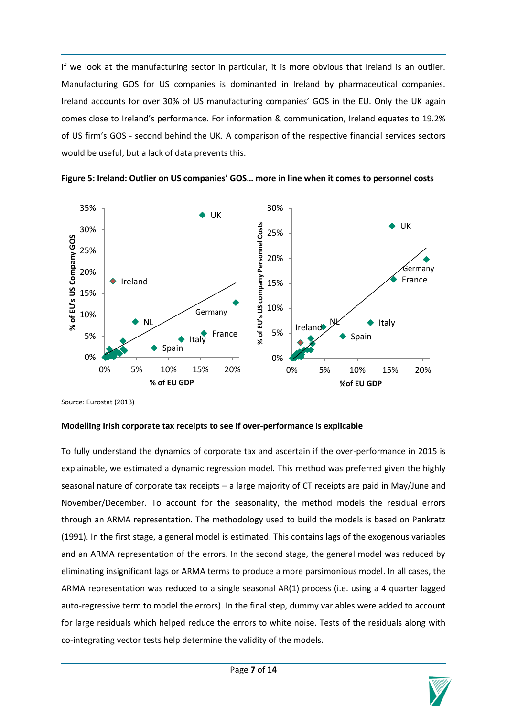If we look at the manufacturing sector in particular, it is more obvious that Ireland is an outlier. Manufacturing GOS for US companies is dominanted in Ireland by pharmaceutical companies. Ireland accounts for over 30% of US manufacturing companies' GOS in the EU. Only the UK again comes close to Ireland's performance. For information & communication, Ireland equates to 19.2% of US firm's GOS - second behind the UK. A comparison of the respective financial services sectors would be useful, but a lack of data prevents this.



#### **Figure 5: Ireland: Outlier on US companies' GOS… more in line when it comes to personnel costs**

Source: Eurostat (2013)

# **Modelling Irish corporate tax receipts to see if over-performance is explicable**

To fully understand the dynamics of corporate tax and ascertain if the over-performance in 2015 is explainable, we estimated a dynamic regression model. This method was preferred given the highly seasonal nature of corporate tax receipts – a large majority of CT receipts are paid in May/June and November/December. To account for the seasonality, the method models the residual errors through an ARMA representation. The methodology used to build the models is based on Pankratz (1991). In the first stage, a general model is estimated. This contains lags of the exogenous variables and an ARMA representation of the errors. In the second stage, the general model was reduced by eliminating insignificant lags or ARMA terms to produce a more parsimonious model. In all cases, the ARMA representation was reduced to a single seasonal AR(1) process (i.e. using a 4 quarter lagged auto-regressive term to model the errors). In the final step, dummy variables were added to account for large residuals which helped reduce the errors to white noise. Tests of the residuals along with co-integrating vector tests help determine the validity of the models.

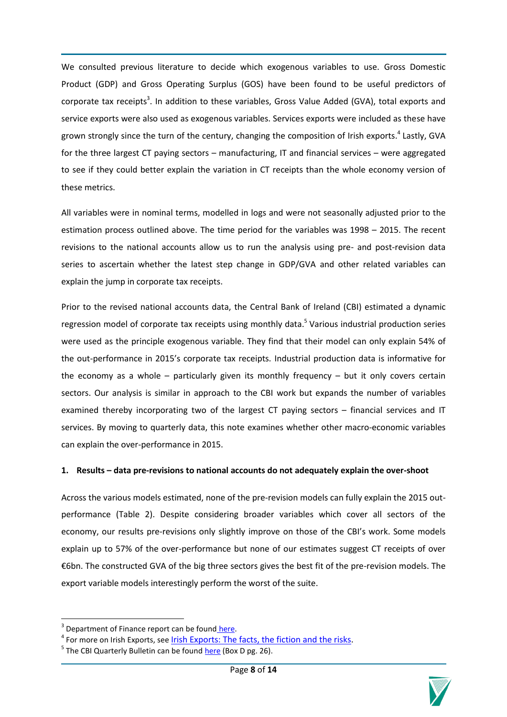We consulted previous literature to decide which exogenous variables to use. Gross Domestic Product (GDP) and Gross Operating Surplus (GOS) have been found to be useful predictors of corporate tax receipts<sup>3</sup>. In addition to these variables, Gross Value Added (GVA), total exports and service exports were also used as exogenous variables. Services exports were included as these have grown strongly since the turn of the century, changing the composition of Irish exports. 4 Lastly, GVA for the three largest CT paying sectors – manufacturing, IT and financial services – were aggregated to see if they could better explain the variation in CT receipts than the whole economy version of these metrics.

All variables were in nominal terms, modelled in logs and were not seasonally adjusted prior to the estimation process outlined above. The time period for the variables was 1998 – 2015. The recent revisions to the national accounts allow us to run the analysis using pre- and post-revision data series to ascertain whether the latest step change in GDP/GVA and other related variables can explain the jump in corporate tax receipts.

Prior to the revised national accounts data, the Central Bank of Ireland (CBI) estimated a dynamic regression model of corporate tax receipts using monthly data.<sup>5</sup> Various industrial production series were used as the principle exogenous variable. They find that their model can only explain 54% of the out-performance in 2015's corporate tax receipts. Industrial production data is informative for the economy as a whole – particularly given its monthly frequency – but it only covers certain sectors. Our analysis is similar in approach to the CBI work but expands the number of variables examined thereby incorporating two of the largest CT paying sectors – financial services and IT services. By moving to quarterly data, this note examines whether other macro-economic variables can explain the over-performance in 2015.

# **1. Results – data pre-revisions to national accounts do not adequately explain the over-shoot**

Across the various models estimated, none of the pre-revision models can fully explain the 2015 outperformance (Table 2). Despite considering broader variables which cover all sectors of the economy, our results pre-revisions only slightly improve on those of the CBI's work. Some models explain up to 57% of the over-performance but none of our estimates suggest CT receipts of over €6bn. The constructed GVA of the big three sectors gives the best fit of the pre-revision models. The export variable models interestingly perform the worst of the suite.

 $\overline{a}$ 



<sup>&</sup>lt;sup>3</sup> Department of Finance report can be found [here.](http://s3.amazonaws.com/zanran_storage/www.finance.gov.ie/ContentPages/8987749.pdf)

<sup>&</sup>lt;sup>4</sup> For more on Irish Exports, see [Irish Exports: The facts, the fiction and the risks.](http://www.ntma.ie/download/publications/IrishExportsFactsFictionAndRisks.pdf)

<sup>&</sup>lt;sup>5</sup> The CBI Quarterly Bulletin can be found **here** (Box D pg. 26).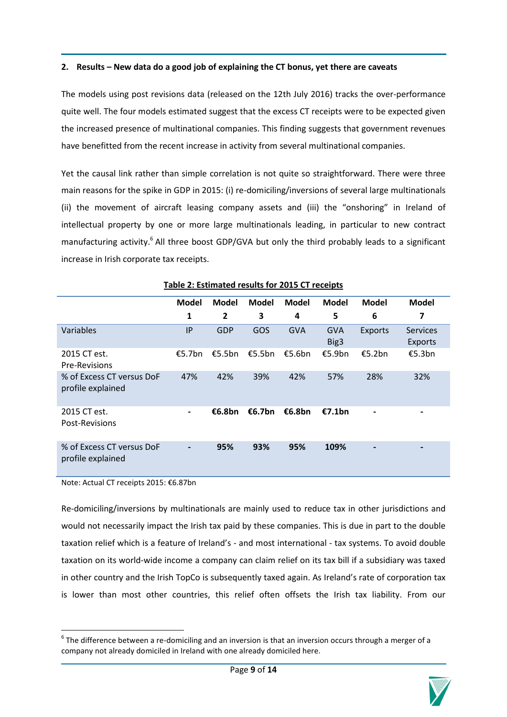# **2. Results – New data do a good job of explaining the CT bonus, yet there are caveats**

The models using post revisions data (released on the 12th July 2016) tracks the over-performance quite well. The four models estimated suggest that the excess CT receipts were to be expected given the increased presence of multinational companies. This finding suggests that government revenues have benefitted from the recent increase in activity from several multinational companies.

Yet the causal link rather than simple correlation is not quite so straightforward. There were three main reasons for the spike in GDP in 2015: (i) re-domiciling/inversions of several large multinationals (ii) the movement of aircraft leasing company assets and (iii) the "onshoring" in Ireland of intellectual property by one or more large multinationals leading, in particular to new contract manufacturing activity.<sup>6</sup> All three boost GDP/GVA but only the third probably leads to a significant increase in Irish corporate tax receipts.

|                                                | <b>Model</b>   | <b>Model</b>   | Model  | <b>Model</b> | <b>Model</b>       | <b>Model</b> | <b>Model</b>                      |
|------------------------------------------------|----------------|----------------|--------|--------------|--------------------|--------------|-----------------------------------|
|                                                | 1              | $\overline{2}$ | 3      | 4            | 5                  | 6            | 7                                 |
| Variables                                      | IP             | <b>GDP</b>     | GOS    | <b>GVA</b>   | <b>GVA</b><br>Big3 | Exports      | <b>Services</b><br><b>Exports</b> |
| 2015 CT est.<br><b>Pre-Revisions</b>           | £5.7bn         | €5.5bn         | €5.5bn | €5.6bn       | €5.9bn             | €5.2bn       | €5.3bn                            |
| % of Excess CT versus DoF<br>profile explained | 47%            | 42%            | 39%    | 42%          | 57%                | 28%          | 32%                               |
| 2015 CT est.<br>Post-Revisions                 | $\blacksquare$ | €6.8bn         | €6.7bn | €6.8bn       | £7.1bn             | -            |                                   |
| % of Excess CT versus DoF<br>profile explained |                | 95%            | 93%    | 95%          | 109%               |              |                                   |

# **Table 2: Estimated results for 2015 CT receipts**

Note: Actual CT receipts 2015: €6.87bn

1

Re-domiciling/inversions by multinationals are mainly used to reduce tax in other jurisdictions and would not necessarily impact the Irish tax paid by these companies. This is due in part to the double taxation relief which is a feature of Ireland's - and most international - tax systems. To avoid double taxation on its world-wide income a company can claim relief on its tax bill if a subsidiary was taxed in other country and the Irish TopCo is subsequently taxed again. As Ireland's rate of corporation tax is lower than most other countries, this relief often offsets the Irish tax liability. From our

 $^6$  The difference between a re-domiciling and an inversion is that an inversion occurs through a merger of a company not already domiciled in Ireland with one already domiciled here.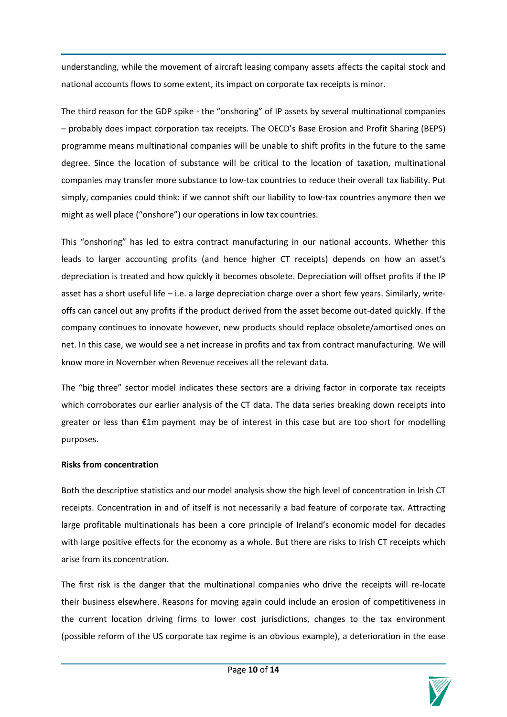understanding, while the movement of aircraft leasing company assets affects the capital stock and national accounts flows to some extent, its impact on corporate tax receipts is minor.

The third reason for the GDP spike - the "onshoring" of IP assets by several multinational companies – probably does impact corporation tax receipts. The OECD's Base Erosion and Profit Sharing (BEPS) programme means multinational companies will be unable to shift profits in the future to the same degree. Since the location of substance will be critical to the location of taxation, multinational companies may transfer more substance to low-tax countries to reduce their overall tax liability. Put simply, companies could think: if we cannot shift our liability to low-tax countries anymore then we might as well place ("onshore") our operations in low tax countries.

This "onshoring" has led to extra contract manufacturing in our national accounts. Whether this leads to larger accounting profits (and hence higher CT receipts) depends on how an asset's depreciation is treated and how quickly it becomes obsolete. Depreciation will offset profits if the IP asset has a short useful life – i.e. a large depreciation charge over a short few years. Similarly, writeoffs can cancel out any profits if the product derived from the asset become out-dated quickly. If the company continues to innovate however, new products should replace obsolete/amortised ones on net. In this case, we would see a net increase in profits and tax from contract manufacturing. We will know more in November when Revenue receives all the relevant data.

The "big three" sector model indicates these sectors are a driving factor in corporate tax receipts which corroborates our earlier analysis of the CT data. The data series breaking down receipts into greater or less than €1m payment may be of interest in this case but are too short for modelling purposes.

# **Risks from concentration**

Both the descriptive statistics and our model analysis show the high level of concentration in Irish CT receipts. Concentration in and of itself is not necessarily a bad feature of corporate tax. Attracting large profitable multinationals has been a core principle of Ireland's economic model for decades with large positive effects for the economy as a whole. But there are risks to Irish CT receipts which arise from its concentration.

The first risk is the danger that the multinational companies who drive the receipts will re-locate their business elsewhere. Reasons for moving again could include an erosion of competitiveness in the current location driving firms to lower cost jurisdictions, changes to the tax environment (possible reform of the US corporate tax regime is an obvious example), a deterioration in the ease

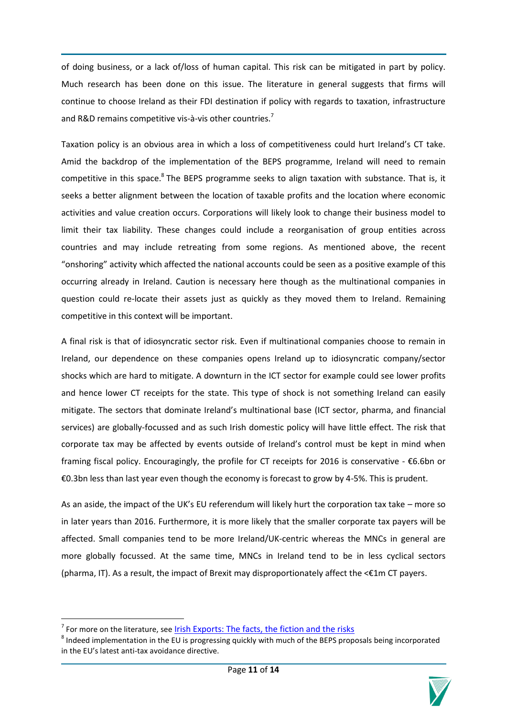of doing business, or a lack of/loss of human capital. This risk can be mitigated in part by policy. Much research has been done on this issue. The literature in general suggests that firms will continue to choose Ireland as their FDI destination if policy with regards to taxation, infrastructure and R&D remains competitive vis-à-vis other countries.<sup>7</sup>

Taxation policy is an obvious area in which a loss of competitiveness could hurt Ireland's CT take. Amid the backdrop of the implementation of the BEPS programme, Ireland will need to remain competitive in this space.<sup>8</sup> The BEPS programme seeks to align taxation with substance. That is, it seeks a better alignment between the location of taxable profits and the location where economic activities and value creation occurs. Corporations will likely look to change their business model to limit their tax liability. These changes could include a reorganisation of group entities across countries and may include retreating from some regions. As mentioned above, the recent "onshoring" activity which affected the national accounts could be seen as a positive example of this occurring already in Ireland. Caution is necessary here though as the multinational companies in question could re-locate their assets just as quickly as they moved them to Ireland. Remaining competitive in this context will be important.

A final risk is that of idiosyncratic sector risk. Even if multinational companies choose to remain in Ireland, our dependence on these companies opens Ireland up to idiosyncratic company/sector shocks which are hard to mitigate. A downturn in the ICT sector for example could see lower profits and hence lower CT receipts for the state. This type of shock is not something Ireland can easily mitigate. The sectors that dominate Ireland's multinational base (ICT sector, pharma, and financial services) are globally-focussed and as such Irish domestic policy will have little effect. The risk that corporate tax may be affected by events outside of Ireland's control must be kept in mind when framing fiscal policy. Encouragingly, the profile for CT receipts for 2016 is conservative - €6.6bn or €0.3bn less than last year even though the economy is forecast to grow by 4-5%. This is prudent.

As an aside, the impact of the UK's EU referendum will likely hurt the corporation tax take – more so in later years than 2016. Furthermore, it is more likely that the smaller corporate tax payers will be affected. Small companies tend to be more Ireland/UK-centric whereas the MNCs in general are more globally focussed. At the same time, MNCs in Ireland tend to be in less cyclical sectors (pharma, IT). As a result, the impact of Brexit may disproportionately affect the <€1m CT payers.

 $\overline{a}$ 

 $^8$  Indeed implementation in the EU is progressing quickly with much of the BEPS proposals being incorporated in the EU's latest anti-tax avoidance directive.



<sup>&</sup>lt;sup>7</sup> For more on the literature, see <u>[Irish Exports: The facts, the fiction and the risks](http://www.ntma.ie/download/publications/IrishExportsFactsFictionAndRisks.pdf)</u>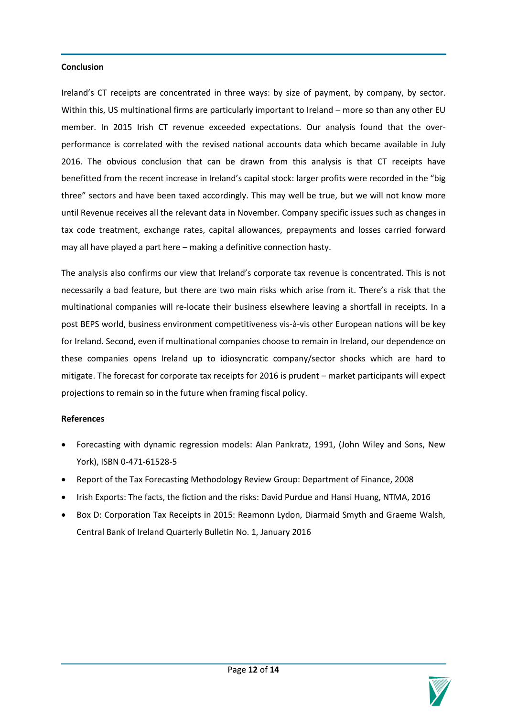### **Conclusion**

Ireland's CT receipts are concentrated in three ways: by size of payment, by company, by sector. Within this, US multinational firms are particularly important to Ireland – more so than any other EU member. In 2015 Irish CT revenue exceeded expectations. Our analysis found that the overperformance is correlated with the revised national accounts data which became available in July 2016. The obvious conclusion that can be drawn from this analysis is that CT receipts have benefitted from the recent increase in Ireland's capital stock: larger profits were recorded in the "big three" sectors and have been taxed accordingly. This may well be true, but we will not know more until Revenue receives all the relevant data in November. Company specific issues such as changes in tax code treatment, exchange rates, capital allowances, prepayments and losses carried forward may all have played a part here – making a definitive connection hasty.

The analysis also confirms our view that Ireland's corporate tax revenue is concentrated. This is not necessarily a bad feature, but there are two main risks which arise from it. There's a risk that the multinational companies will re-locate their business elsewhere leaving a shortfall in receipts. In a post BEPS world, business environment competitiveness vis-à-vis other European nations will be key for Ireland. Second, even if multinational companies choose to remain in Ireland, our dependence on these companies opens Ireland up to idiosyncratic company/sector shocks which are hard to mitigate. The forecast for corporate tax receipts for 2016 is prudent – market participants will expect projections to remain so in the future when framing fiscal policy.

# **References**

- Forecasting with dynamic regression models: Alan Pankratz, 1991, (John Wiley and Sons, New York), ISBN 0-471-61528-5
- Report of the Tax Forecasting Methodology Review Group: Department of Finance, 2008
- Irish Exports: The facts, the fiction and the risks: David Purdue and Hansi Huang, NTMA, 2016
- Box D: Corporation Tax Receipts in 2015: Reamonn Lydon, Diarmaid Smyth and Graeme Walsh, Central Bank of Ireland Quarterly Bulletin No. 1, January 2016

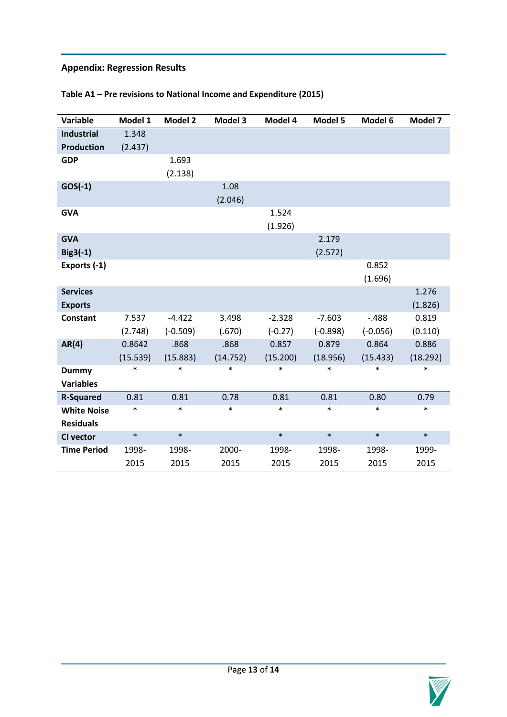# **Appendix: Regression Results**

| Variable           | Model 1  | <b>Model 2</b> | Model 3  | Model 4   | Model 5    | Model 6    | Model 7  |
|--------------------|----------|----------------|----------|-----------|------------|------------|----------|
| <b>Industrial</b>  | 1.348    |                |          |           |            |            |          |
| <b>Production</b>  | (2.437)  |                |          |           |            |            |          |
| <b>GDP</b>         |          | 1.693          |          |           |            |            |          |
|                    |          | (2.138)        |          |           |            |            |          |
| $GOS(-1)$          |          |                | 1.08     |           |            |            |          |
|                    |          |                | (2.046)  |           |            |            |          |
| <b>GVA</b>         |          |                |          | 1.524     |            |            |          |
|                    |          |                |          | (1.926)   |            |            |          |
| <b>GVA</b>         |          |                |          |           | 2.179      |            |          |
| $Big<3(-1)$        |          |                |          |           | (2.572)    |            |          |
| Exports (-1)       |          |                |          |           |            | 0.852      |          |
|                    |          |                |          |           |            | (1.696)    |          |
| <b>Services</b>    |          |                |          |           |            |            | 1.276    |
| <b>Exports</b>     |          |                |          |           |            |            | (1.826)  |
| <b>Constant</b>    | 7.537    | $-4.422$       | 3.498    | $-2.328$  | $-7.603$   | $-.488$    | 0.819    |
|                    | (2.748)  | $(-0.509)$     | (.670)   | $(-0.27)$ | $(-0.898)$ | $(-0.056)$ | (0.110)  |
| AR(4)              | 0.8642   | .868           | .868     | 0.857     | 0.879      | 0.864      | 0.886    |
|                    | (15.539) | (15.883)       | (14.752) | (15.200)  | (18.956)   | (15.433)   | (18.292) |
| <b>Dummy</b>       | *        | $\ast$         | $\ast$   | $\ast$    | $\ast$     | *          | $\ast$   |
| <b>Variables</b>   |          |                |          |           |            |            |          |
| <b>R-Squared</b>   | 0.81     | 0.81           | 0.78     | 0.81      | 0.81       | 0.80       | 0.79     |
| <b>White Noise</b> | $\ast$   | $\ast$         | $\ast$   | $\ast$    | $\ast$     | $\ast$     | $\ast$   |
| <b>Residuals</b>   |          |                |          |           |            |            |          |
| CI vector          | $\ast$   | $\ast$         |          | $\ast$    | $\ast$     | $\ast$     | $\ast$   |
| <b>Time Period</b> | 1998-    | 1998-          | 2000-    | 1998-     | 1998-      | 1998-      | 1999-    |
|                    | 2015     | 2015           | 2015     | 2015      | 2015       | 2015       | 2015     |

# **Table A1 – Pre revisions to National Income and Expenditure (2015)**